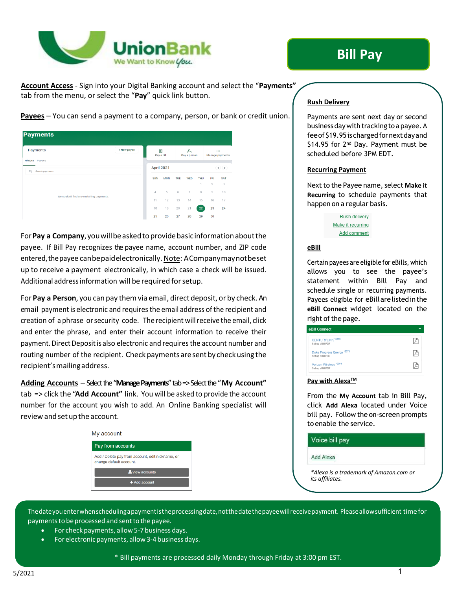

# **Bill Pay**

**Account Access** - Sign into your Digital Banking account and select the "**Payments"** tab from the menu, or select the "**Pay**" quick link button.

| <b>Payments</b>                         |             |                |                 |            |                   |            |                |                             |
|-----------------------------------------|-------------|----------------|-----------------|------------|-------------------|------------|----------------|-----------------------------|
| Payments<br>Payees<br><b>History</b>    | + New payee |                | 圆<br>Pay a bill |            | д<br>Pay a person |            |                | $\cdots$<br>Manage payments |
| $\circ$<br>Search payments              |             |                | April 2021      |            |                   |            |                | $\odot$ $\odot$             |
|                                         |             | <b>SUN</b>     | <b>MON</b>      | <b>TUE</b> | WED               | <b>THU</b> | FRI            | SAT                         |
| We couldn't find any matching payments. |             |                |                 |            |                   | đ          | $\overline{2}$ | 3                           |
|                                         |             | $\overline{4}$ | 5               | 6          | $\overline{7}$    | 8          | $\,9$          | 10                          |
|                                         |             | 11             | 12              | 13         | 14                | 15         | 16             | 17                          |
|                                         |             | 18             | 19              | 20         | 21                | 22         | 23             | 24                          |
|                                         |             | 25             | 26              | 27         | 28                | 29         | 30             |                             |

**Payees** – You can send a payment to a company, person, or bank or credit union.

For**Pay a Company**,youwillbeaskedtoprovidebasic informationaboutthe payee. If Bill Pay recognizes the payee name, account number, and ZIP code entered, the payee can be paid electronically. Note: A Companymay not be set up to receive a payment electronically, in which case a check will be issued. Additional addressinformation will be required forsetup.

For **Pay a Person**, you can pay themvia email, direct deposit, or by check.An email payment is electronic and requires the email address of the recipient and creation of a phrase orsecurity code. The recipient willreceive the email, click and enter the phrase, and enter their account information to receive their payment. Direct Deposit is also electronic and requires the account number and routing number of the recipient. Check payments are sent by check using the recipient'smailingaddress.

**Adding Accounts** – Select the "**Manage Payments**" tab => Select the "**My Account"** tab => click the "**Add Account"** link. You will be asked to provide the account number for the account you wish to add. An Online Banking specialist will review and set up the account.

| Pay from accounts<br>Add / Delete pay from account, edit nickname, or<br>change default account.<br><sup>2</sup> View accounts |  |  |  |  |
|--------------------------------------------------------------------------------------------------------------------------------|--|--|--|--|
|                                                                                                                                |  |  |  |  |
|                                                                                                                                |  |  |  |  |
|                                                                                                                                |  |  |  |  |
| $+$ Add account                                                                                                                |  |  |  |  |

# **Rush Delivery**

Payments are sent next day or second businessdaywith tracking toa payee.A fee of \$19.95 is charged for next day and \$14.95 for 2<sup>nd</sup> Day. Payment must be scheduled before 3PM EDT.

#### **Recurring Payment**

Next to the Payee name, select Make it **Recurring** to schedule payments that happen on a regular basis.

| Rush delivery     |
|-------------------|
| Make it recurring |
| Add comment       |

#### **eBill**

Certain payees are eligible for eBills, which allows you to see the payee's statement within Bill Pay and schedule single or recurring payments. Payees eligible for eBill are listed in the **eBill Connect** widget located on the right of the page.

| <b>Bill Conn</b> |  |
|------------------|--|
|                  |  |

| <b>CENTURYLINK *6539</b><br>Set up eBill PDF              |  |
|-----------------------------------------------------------|--|
| Duke Progress Energy <sup>*2373</sup><br>Set up eBill PDF |  |
| Verizon Wireless '0001<br>Set up eBill PDF                |  |

#### **Pay with AlexaTM**

From the **My Account** tab in Bill Pay, click **Add Alexa** located under Voice bill pay. Follow the on-screen prompts to enable the service.

Voice bill pay

Add Alexa

*\*Alexa is a trademark of Amazon.com or its affiliates.*

Thedateyouenterwhenschedulingapaymentistheprocessingdate,notthedatethepayeewillreceivepayment. Pleaseallowsufficient time for payments to be processed and sent to the payee.

- For check payments, allow 5‐7 business days.
- For electronic payments, allow 3‐4 business days.

**Adding Payments** \* Bill payments are processed daily Monday through Friday at 3:00 pm EST.